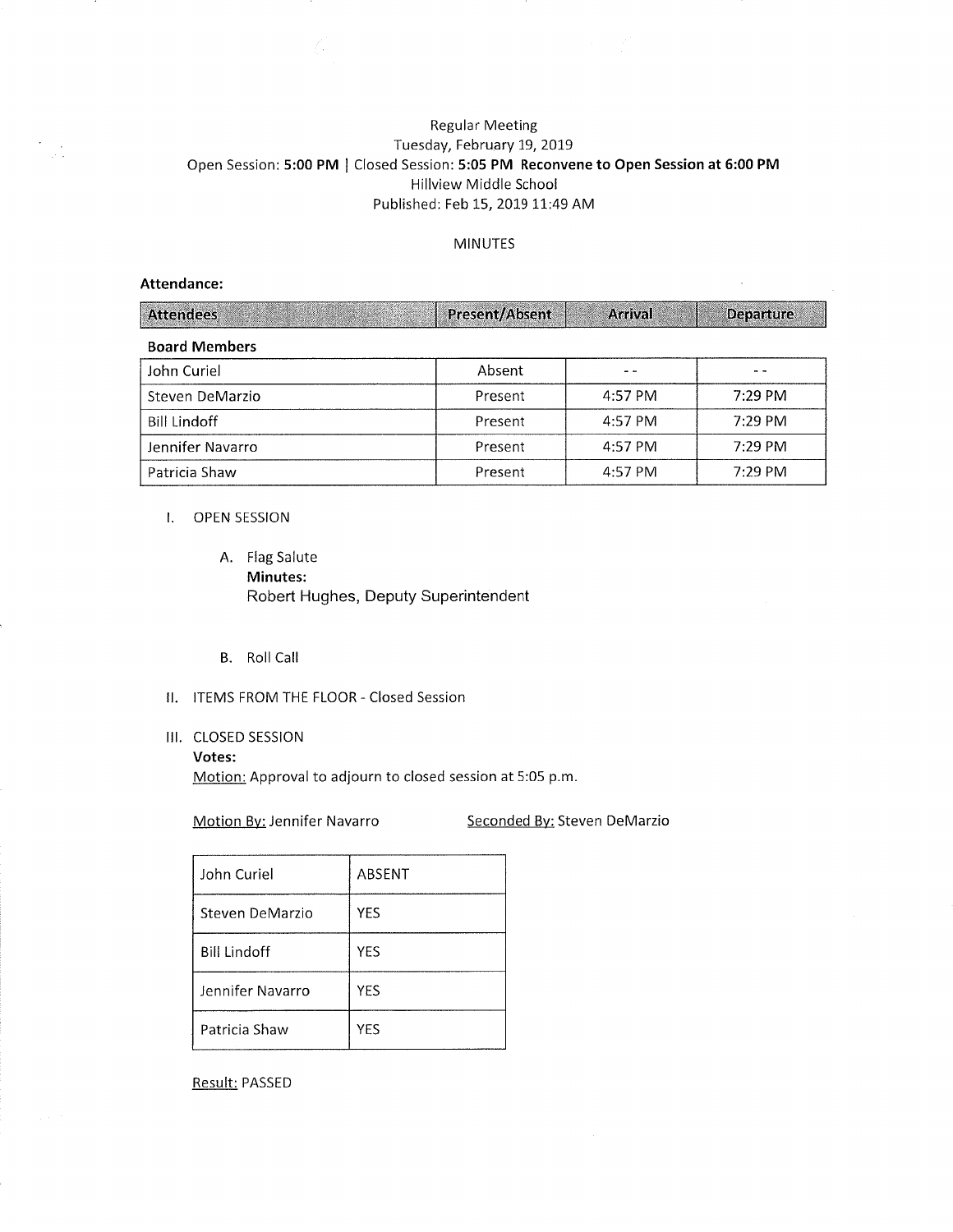# Regular Meeting Tuesday, February 19, 2OI9 Open Session: 5:00 PM | Closed Session: 5:05 PM Reconvene to Open Session at 6:00 PM Hillview Middle School Published: Feb 15, 2019 11:49 AM

#### MINUTES

## Attendance:

 $\frac{1}{\sqrt{2}}\frac{1}{2\sqrt{2}}$ 

| <b>Attendees</b>     | Present/Absent | <b>Arrival</b> | <b>Departure</b> |
|----------------------|----------------|----------------|------------------|
| <b>Board Members</b> |                |                |                  |
| John Curiel          | Absent         |                |                  |
| Steven DeMarzio      | Present        | 4:57 PM        | $7:29$ PM        |
| <b>Bill Lindoff</b>  | Present        | 4:57 PM        | 7:29 PM          |
| Jennifer Navarro     | Present        | 4:57 PM        | 7:29 PM          |
| Patricia Shaw        | Present        | 4:57 PM        | $7:29$ PM        |

#### I. OPEN SESSION

- A. Flag Salute Minutes: Robert Hughes, Deputy Superintendent
- B. Roll Call
- ll. ITEMS FROM THE FLOOR Closed Session

A.

# III. CLOSED SESSION

#### Votes:

Motion: Approval to adjourn to closed session at 5:05 p.m

Motion By: Jennifer Navarro Seconded By: Steven DeMarzio

| John Curiel         | ABSENT     |
|---------------------|------------|
| Steven DeMarzio     | <b>YES</b> |
| <b>Bill Lindoff</b> | YES        |
| Jennifer Navarro    | YES        |
| Patricia Shaw       | YES        |

Result: PASSED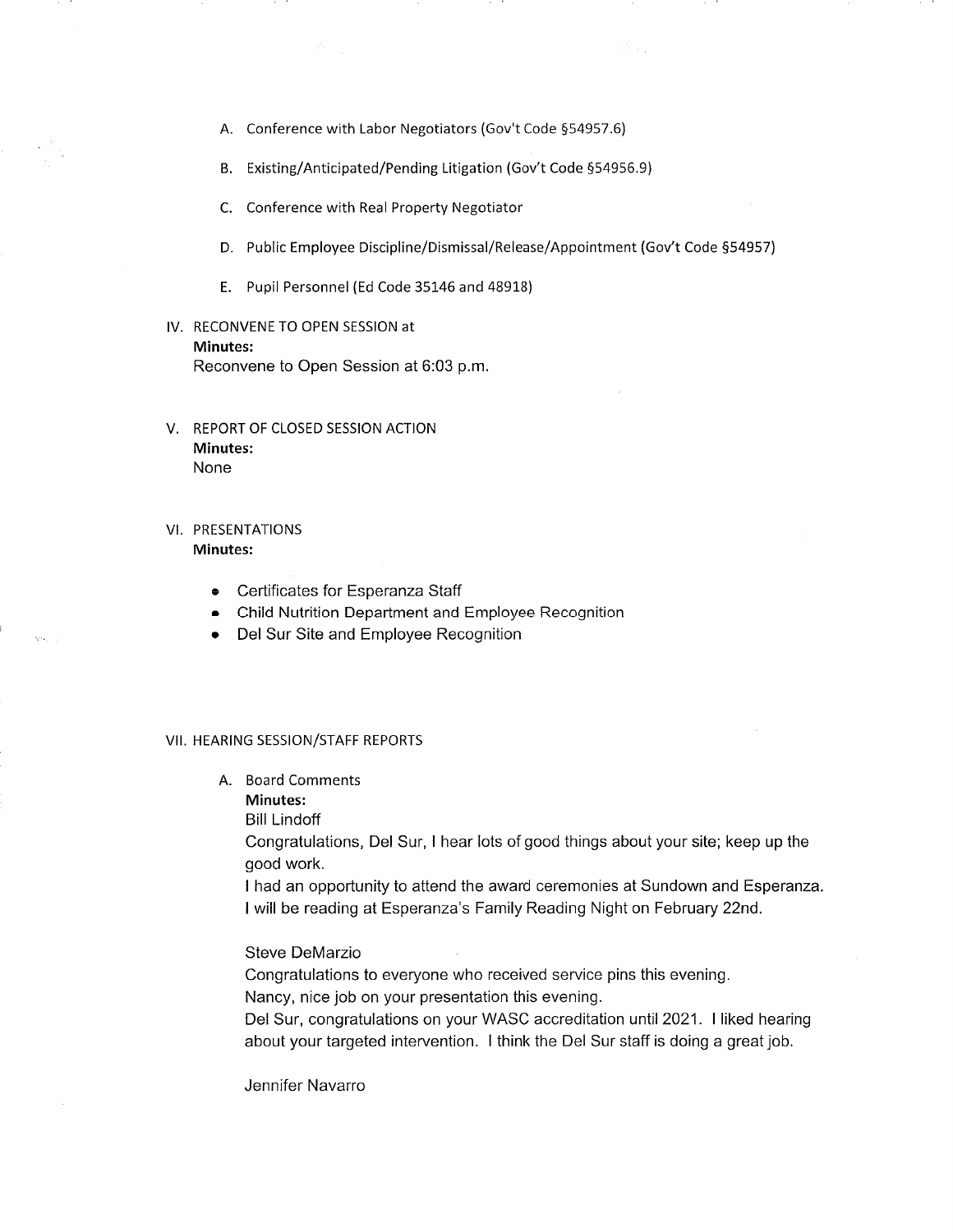- A. Conference with Labor Negotiators (Gov't Code 554957.6)
- B. Existing/Anticipated/Pending Litigation (Gov't Code 554956.9)
- C. Conference with Real Property Negotiator
- D. Public Employee Discipline/Dismissal/Release/Appointment (Gov't Code §54957)

 $\mathcal{S}_{\text{out}}$ 

- E. Pupil Personnel (Ed Code 35146 and 48918)
- lV. RECONVENE TO OPEN SESSION at Minutes:

Reconvene to Open Session at 6:03 p.m

- V. REPORT OF CLOSED SESSION ACTION Minutes: None
- VI. PRESENTATIONS Minutes:
	- c Certificates for Esperanza Staff
	- Child Nutrition Department and Employee Recognition
	- Del Sur Site and Employee Recognition

#### VII. HEARING SESSION/STAFF REPORTS

- A. Board Comments
	- Minutes:
	- Bill Lindoff

Congratulations, Del Sur, I hear lots of good things about your site; keep up the good work.

I had an opportunity to attend the award ceremonies at Sundown and Esperanza. <sup>I</sup>will be reading at Esperanza's Family Reading Night on February 22nd.

## Steve DeMarzio

Congratulations to everyone who received service pins this evening.

Nancy, nice job on your presentation this evening.

Del Sur, congratulations on your WASC accreditation until 2021. I liked hearing about your targeted intervention. I think the Del Sur staff is doing a great job.

Jennifer Navarro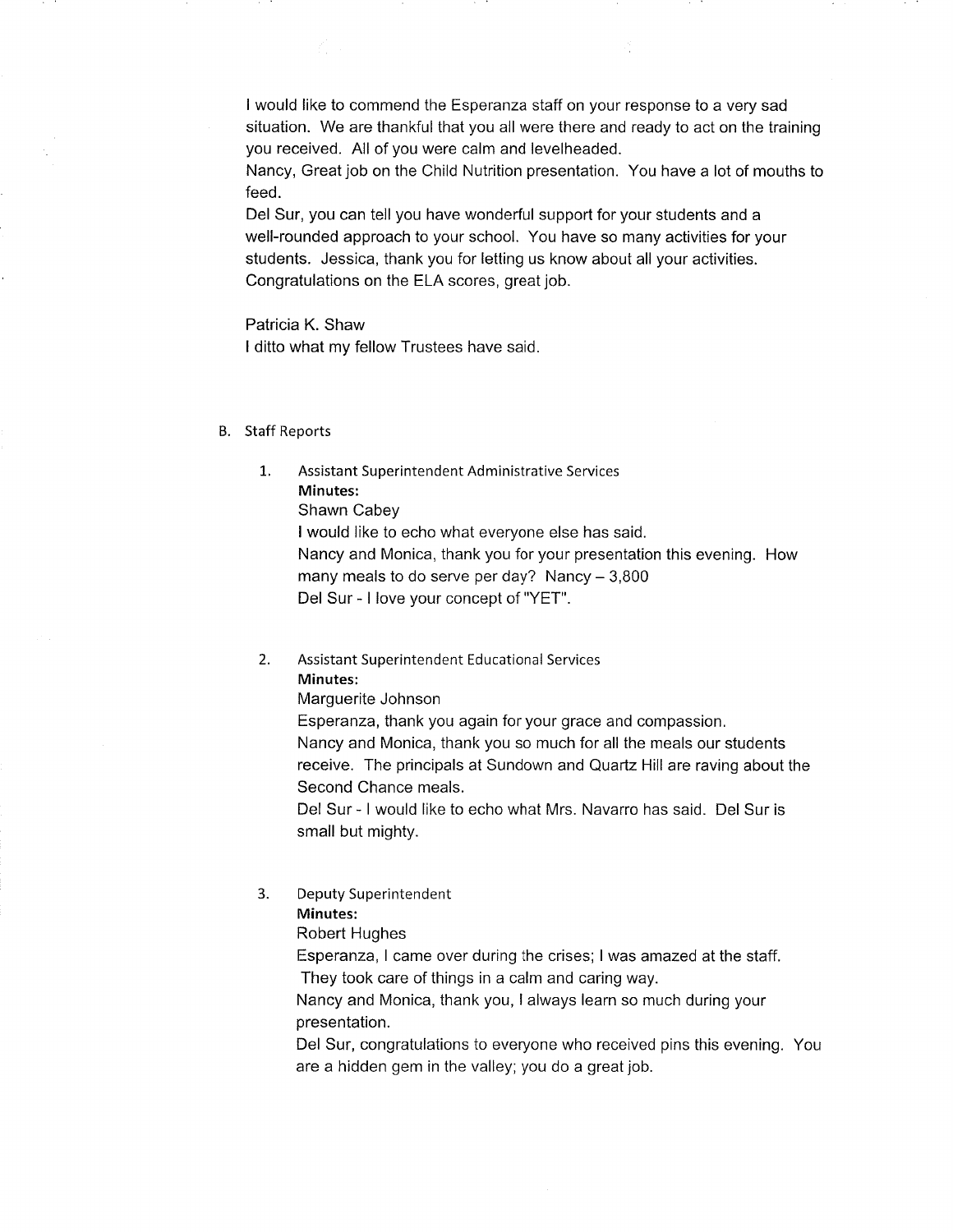<sup>I</sup>would like to commend the Esperanza staff on your response to a very sad sítuation. We are thankful that you all were there and ready to act on the training you received. All of you were calm and levelheaded.

Æ,

Nancy, Great job on the Child Nutrition presentation. You have a lot of mouths to feed.

Del Sur, you can tell you have wonderful support for your students and a well-rounded approach to your school. You have so many activities for your students. Jessica, thank you for letting us know about all your activities. Congratulations on the ELA scores, great job.

Patricia K. Shaw I ditto what my fellow Trustees have said.

#### B. Staff Reports

Assistant Superintendent Administrative Services Minutes: 1.

Shawn Cabey

<sup>I</sup>would like to echo what everyone else has said.

Nancy and Monica, thank you for your presentation this evening. How many meals to do serve per day? Nancy  $-3,800$ Del Sur - <sup>I</sup>love your concept of "YET".

Assistant Superintendent Educational Services Minutes:  $2.$ 

Marguerite Johnson

Esperanza, thank you again for your grace and compassion. Nancy and Monica, thank you so much for all the meals our students receive. The principals at Sundown and Quartz Hill are raving about the Second Chance meals.

Del Sur - I would like to echo what Mrs. Navarro has said. Del Sur is small but mighty.

Deputy Superintendent 3.

# Minutes:

Robert Hughes

Esperanza, I came over during the crises; I was amazed at the staff. They took care of things in a calm and caring way.

Nancy and Monica, thank you, I always learn so much during your

presentation.

Del Sur, congratulations to everyone who received pins this evening. You are a hidden gem in the valley; you do a great job.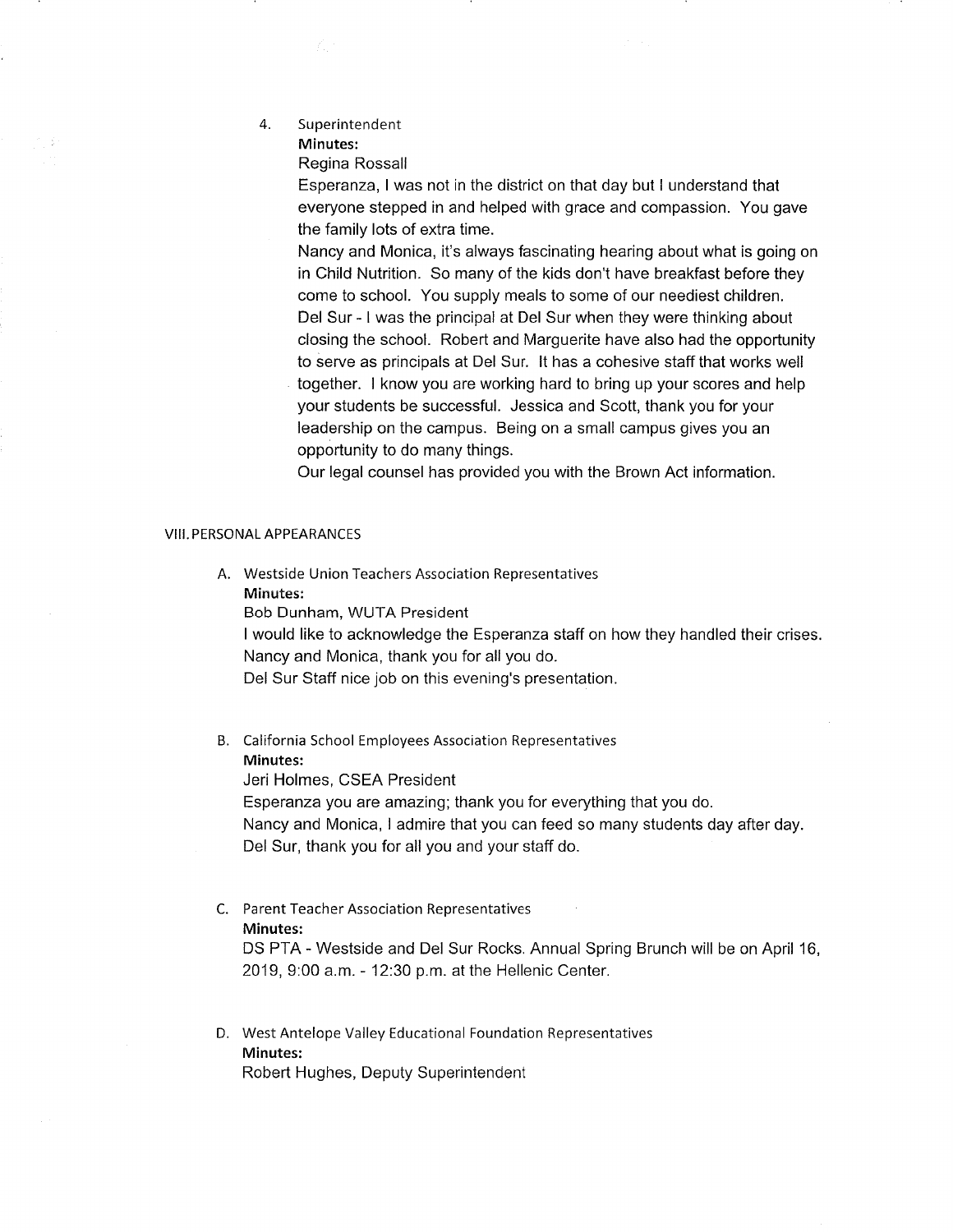4. Superintendent Minutes:

Regina Rossall

Esperanza, <sup>I</sup>was not in the district on that day but I understand that everyone stepped in and helped with grace and compassion. You gave the family lots of extra time.

Nancy and Monica, it's always fascinating hearing about what is going on in Child Nutrition. So many of the kids don't have breakfast before they come to school. You supply meals to some of our neediest children. Del Sur - <sup>I</sup>was the principal at Del Sur when they were thinking about closing the school. Robert and Marguerite have also had the opportunity to serve as principals at Del Sur. lt has a cohesive staff that works well together. I know you are working hard to bring up your scores and help your students be successful. Jessica and Scott, thank you for your leadership on the campus. Being on a small campus gives you an opportunity to do many things.

Our legal counsel has provided you with the Brown Act information.

#### VIII. PERSONAL APPEARANCES

A. Westside Union Teachers Association Representatives Minutes:

Bob Dunham, WUTA President

<sup>I</sup>would like to acknowledge the Esperanza staff on how they handled their crises. Nancy and Monica, thank you for all you do.

Del Sur Staff nice job on this evening's presentation.

B. California School Employees Association Representatives Minutes: Jeri Holmes, CSEA President

Esperanza you are amazing; thank you for everything that you do.

Nancy and Monica, I admire that you can feed so many students day after day Del Sur, thank you for all you and your staff do.

# C. Parent Teacher Association Representatives Minutes:

DS PTA - Westside and Del Sur Rocks. Annual Spring Brunch will be on April 16, 2019, 9:00 a.m. - 12:30 p.m. at the Hellenic Center.

D. West Antelope Valley Educational Foundation Representatives Minutes: Robert Hughes, Deputy Superintendent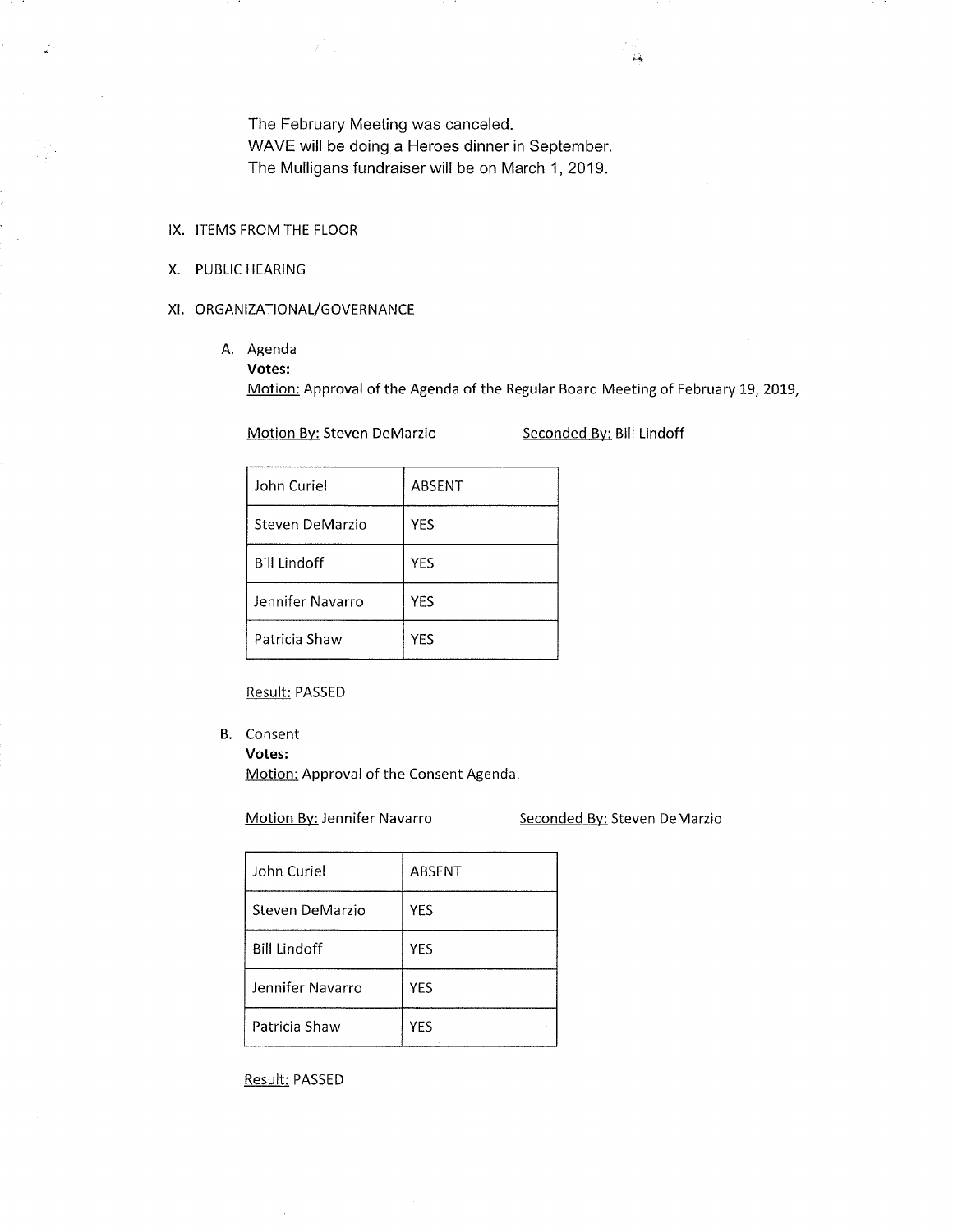The February Meeting was canceled.

WAVE will be doing a Heroes dinner in September

The Mulligans fundraiser will be on March 1,2019.

## IX. ITEMS FROM THE FLOOR

X. PUBLIC HEARING

## XI. ORGANIZATIONAL/GOVERNANCE

- A. Agenda
	- Votes:

Motion: Approval of the Agenda of the Regular Board Meeting of February 19, 2019,

Motion By: Steven DeMarzio Seconded By: Bill Lindoff

| John Curiel         | ABSENT     |
|---------------------|------------|
| Steven DeMarzio     | <b>YES</b> |
| <b>Bill Lindoff</b> | YES        |
| Jennifer Navarro    | YES        |
| Patricia Shaw       | YES        |

## Result: PASSED

B. Consent

Votes:

Motion: Approval of the Consent Agenda.

Motion By: Jennifer Navarro Seconded By: Steven DeMarzio

| John Curiel         | <b>ABSENT</b> |
|---------------------|---------------|
| Steven DeMarzio     | <b>YES</b>    |
| <b>Bill Lindoff</b> | YES           |
| Jennifer Navarro    | YES           |
| Patricia Shaw       | <b>YES</b>    |

Result: PASSED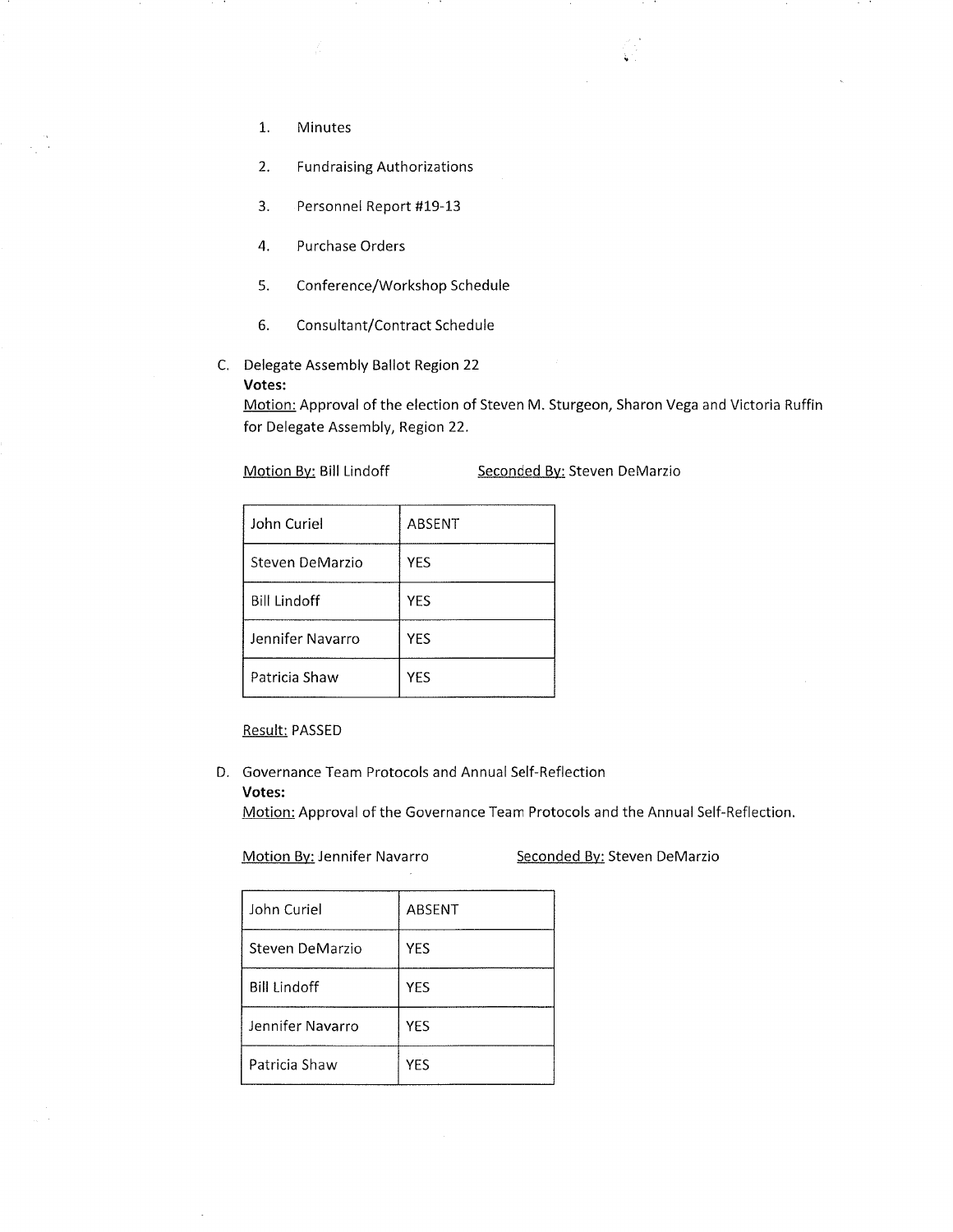- 1. Minutes
- Fundraising Authorizations 2.
- Personnel Report #19-13 3.
- Purchase Orders 4.
- Conference/Workshop Schedule 5.
- Consultant/Contract Schedule 6.
- C. Delegate Assembly Ballot Region 22 Votes:

Motion: Approval of the election of Steven M. Sturgeon, Sharon Vega and Victoria Ruffin for Delegate Assembly, Region 22.

Motion By: Bill Lindoff Seconded By: Steven DeMarzio

. . . .

| John Curiel         | ABSENT     |
|---------------------|------------|
| Steven DeMarzio     | <b>YES</b> |
| <b>Bill Lindoff</b> | YES        |
| Jennifer Navarro    | YES        |
| Patricia Shaw       | YES        |

#### Result: PASSED

D. Governance Team Protocols and Annual Self-Reflection Votes:

Motion: Approval of the Governance Team Protocols and the Annual Self-Reflection.

Motion By: Jennifer Navarro Seconded By: Steven DeMarzio

| John Curiel         | ABSENT     |
|---------------------|------------|
| Steven DeMarzio     | <b>YES</b> |
| <b>Bill Lindoff</b> | <b>YES</b> |
| Jennifer Navarro    | <b>YES</b> |
| Patricia Shaw       | YES        |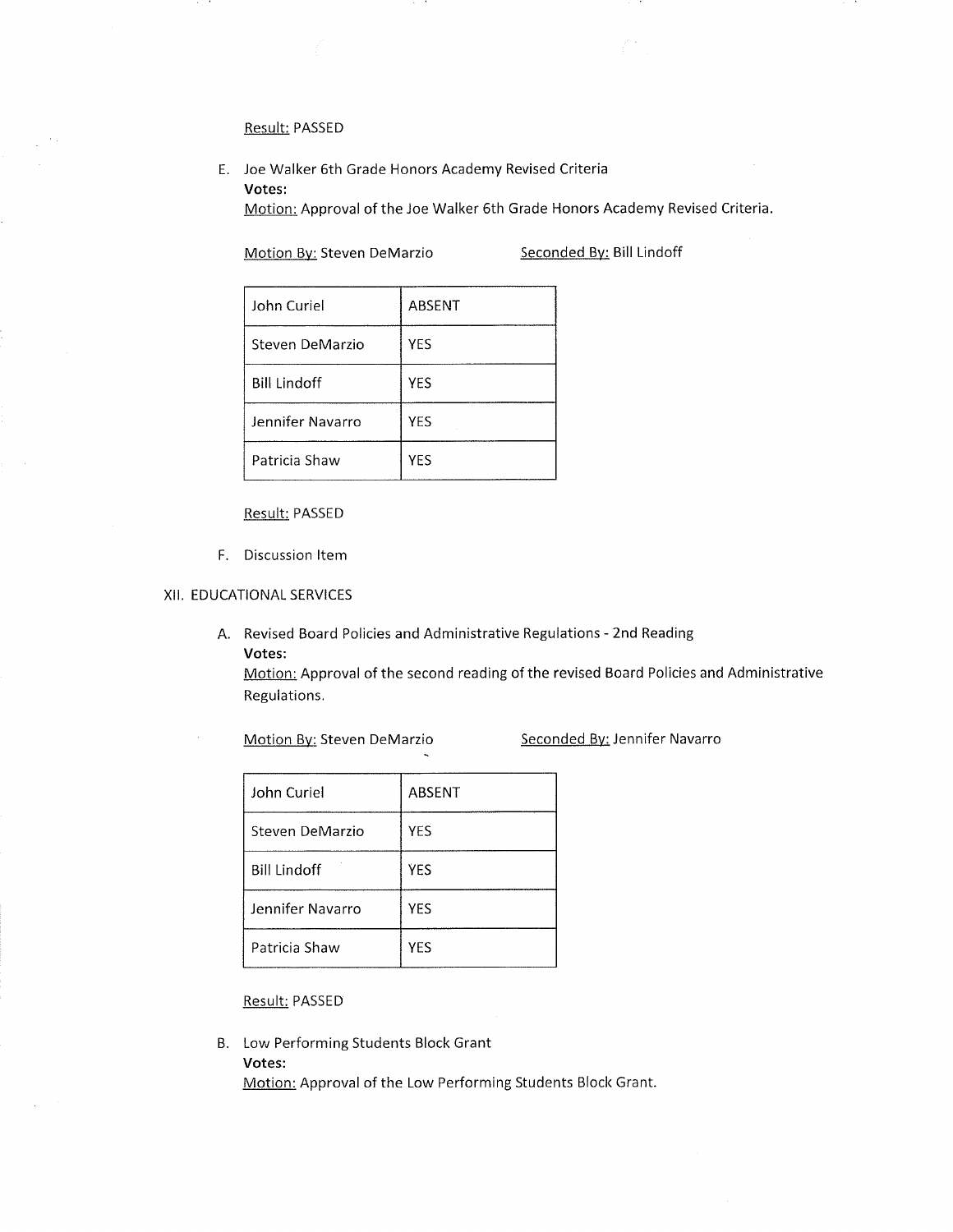# Result: PASSED

E. Joe Walker 6th Grade Honors Academy Revised Criteria Votes:

Motion: Approval of the Joe Walker 6th Grade Honors Academy Revised Criteria.

Motion By: Steven DeMarzio Seconded By: Bill Lindoff

| John Curiel         | ABSENT |
|---------------------|--------|
| Steven DeMarzio     | YES    |
| <b>Bill Lindoff</b> | YES    |
| Jennifer Navarro    | YES    |
| Patricia Shaw       | YES    |

## Result: PASSED

F. Discussion ltem

## XiI. EDUCATIONAL SERVICES

A. Revised Board Policies and Administrative Regulations - 2nd Reading Votes:

Motion: Approval of the second reading of the revised Board Policies and Administrative Regulations.

Motion By: Steven DeMarzio Seconded By: Jennifer Navarro

| John Curiel         | <b>ABSENT</b> |
|---------------------|---------------|
| Steven DeMarzio     | <b>YES</b>    |
| <b>Bill Lindoff</b> | YES           |
| Jennifer Navarro    | <b>YES</b>    |
| Patricia Shaw       | YES           |

Result: PASSED

B. Low Performing Students Block Grant Votes:

Motion: Approval of the Low Performing Students Block Grant.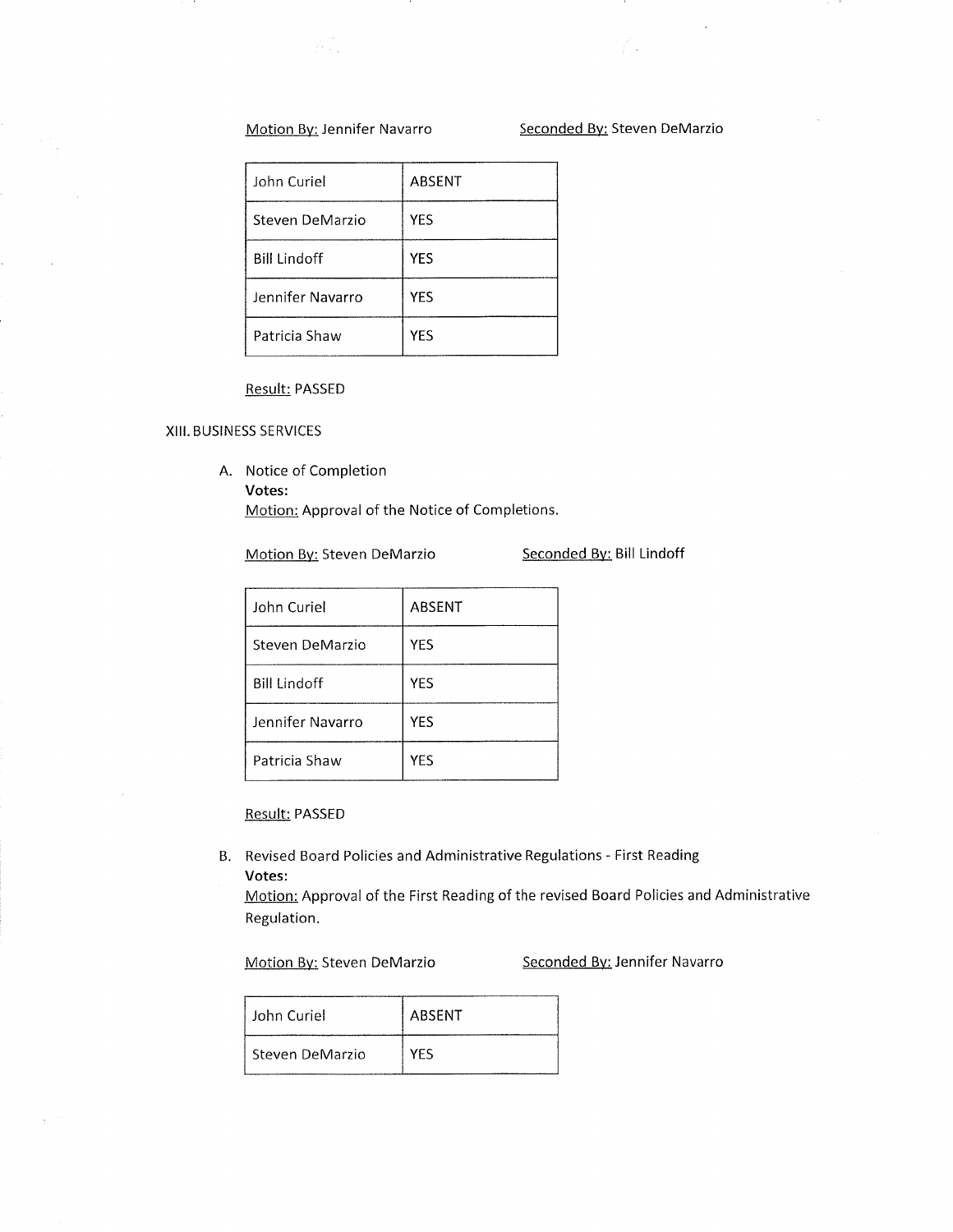$\beta_{\rm{th}}$ 

# Motion By: Jennifer Navarro Seconded By: Steven DeMarzio

√.

| John Curiel         | ABSENT     |
|---------------------|------------|
| Steven DeMarzio     | <b>YES</b> |
| <b>Bill Lindoff</b> | YES        |
| Jennifer Navarro    | YES        |
| Patricia Shaw       | YES        |

## Result: PASSED

#### XIII. BUSINESS SERVICES

A. Notice of Completion Votes:

Motion: Approval of the Notice of Completions.

# Motion By: Steven DeMarzio Seconded By: Bill Lindoff

| John Curiel         | ABSENT     |
|---------------------|------------|
| Steven DeMarzio     | YES        |
| <b>Bill Lindoff</b> | <b>YES</b> |
| Jennifer Navarro    | <b>YES</b> |
| Patricia Shaw       | YES        |

Result: PASSED

B. Revised Board Policies and Administrative Regulations - First Reading Votes:

Motion: Approval of the First Reading of the revised Board Policies and Administrative Regulation.

Motion By: Steven DeMarzio Seconded By: Jennifer Navarro

| John Curiel     | ABSENT     |
|-----------------|------------|
| Steven DeMarzio | <b>VES</b> |